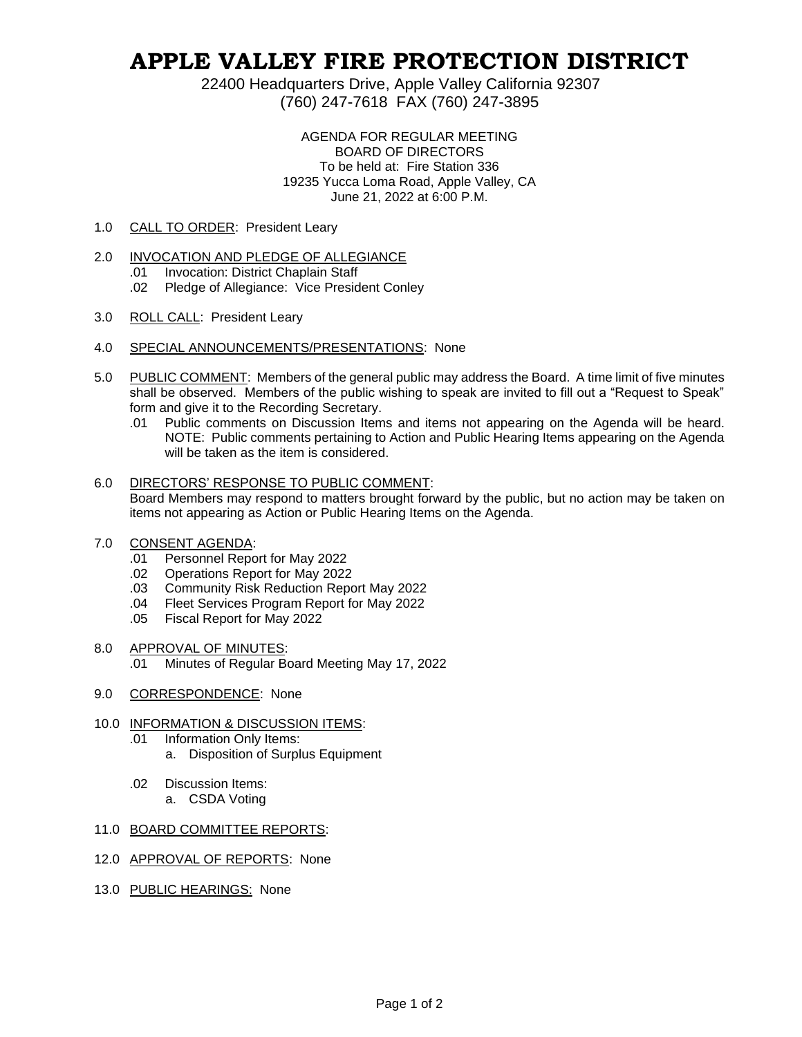# **APPLE VALLEY FIRE PROTECTION DISTRICT**

22400 Headquarters Drive, Apple Valley California 92307 (760) 247-7618 FAX (760) 247-3895

> AGENDA FOR REGULAR MEETING BOARD OF DIRECTORS To be held at: Fire Station 336 19235 Yucca Loma Road, Apple Valley, CA June 21, 2022 at 6:00 P.M.

1.0 CALL TO ORDER: President Leary

### 2.0 INVOCATION AND PLEDGE OF ALLEGIANCE

- .01 Invocation: District Chaplain Staff
- .02 Pledge of Allegiance: Vice President Conley
- 3.0 ROLL CALL: President Leary
- 4.0 SPECIAL ANNOUNCEMENTS/PRESENTATIONS: None
- 5.0 PUBLIC COMMENT: Members of the general public may address the Board. A time limit of five minutes shall be observed. Members of the public wishing to speak are invited to fill out a "Request to Speak" form and give it to the Recording Secretary.
	- .01 Public comments on Discussion Items and items not appearing on the Agenda will be heard. NOTE: Public comments pertaining to Action and Public Hearing Items appearing on the Agenda will be taken as the item is considered.
- 6.0 DIRECTORS' RESPONSE TO PUBLIC COMMENT: Board Members may respond to matters brought forward by the public, but no action may be taken on items not appearing as Action or Public Hearing Items on the Agenda.
- 7.0 CONSENT AGENDA:
	- .01 Personnel Report for May 2022
	- .02 Operations Report for May 2022
	- .03 Community Risk Reduction Report May 2022
	- .04 Fleet Services Program Report for May 2022
	- .05 Fiscal Report for May 2022

#### 8.0 APPROVAL OF MINUTES:

- .01 Minutes of Regular Board Meeting May 17, 2022
- 9.0 CORRESPONDENCE: None

## 10.0 INFORMATION & DISCUSSION ITEMS:

- .01 Information Only Items:
	- a. Disposition of Surplus Equipment
- .02 Discussion Items:
	- a. CSDA Voting

#### 11.0 BOARD COMMITTEE REPORTS:

- 12.0 APPROVAL OF REPORTS: None
- 13.0 PUBLIC HEARINGS: None